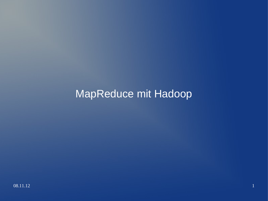### MapReduce mit Hadoop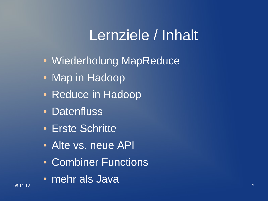# Lernziele / Inhalt

- Wiederholung MapReduce
- Map in Hadoop
- Reduce in Hadoop
- Datenfluss
- Erste Schritte
- Alte vs. neue API
- Combiner Functions
- $08.11.12$  and  $0.11.12$  and  $0.11.12$  and  $0.11.12$  and  $0.11.12$  and  $0.11.12$  and  $0.11.12$  and  $0.11.12$  and  $0.11.12$  and  $0.11.12$  and  $0.11.12$  and  $0.11.12$  and  $0.11.12$  and  $0.11.12$  and  $0.11.12$  and  $0.11.12$  • mehr als Java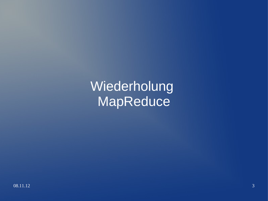Wiederholung **MapReduce**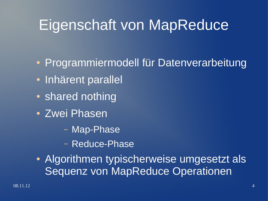# Eigenschaft von MapReduce

- Programmiermodell für Datenverarbeitung
- Inhärent parallel
- shared nothing
- Zwei Phasen
	- Map-Phase
	- Reduce-Phase
- Algorithmen typischerweise umgesetzt als Sequenz von MapReduce Operationen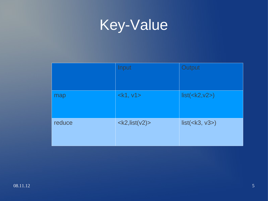

|        | Input              | Output                        |
|--------|--------------------|-------------------------------|
| map    | $<$ k1, v1>        | list( <k2, v2="">)</k2,>      |
| reduce | $<$ k2, list(v2) > | list( <b>k3</b> , <b>v3</b> ) |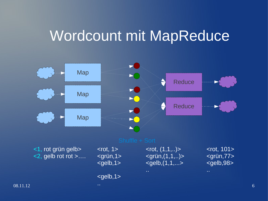### Wordcount mit MapReduce

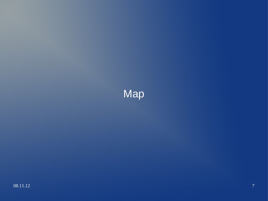### Map<sup>1</sup>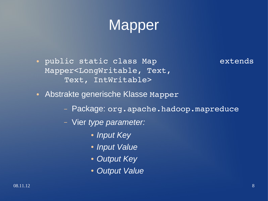## Mapper

● public static class Map extends Mapper<LongWritable, Text, Text, IntWritable>

- Abstrakte generische Klasse Mapper
	- Package: org.apache.hadoop.mapreduce
	- Vier *type parameter:* 
		- *Input Key*
		- *Input Value*
		- *Output Key*
		- *Output Value*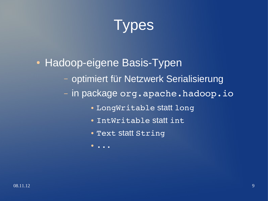

### • Hadoop-eigene Basis-Typen

- optimiert für Netzwerk Serialisierung
- in package org.apache.hadoop.io
	- LongWritable statt long
	- IntWritable statt int
	- Text statt String
	- $\bullet$  . . .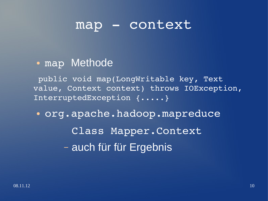### map - context

• map Methode

public void map(LongWritable key, Text value, Context context) throws IOException, InterruptedException {.....}

• org.apache.hadoop.mapreduce Class Mapper.Context – auch für für Ergebnis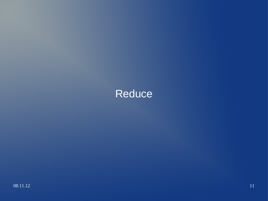### Reduce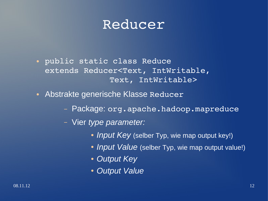### Reducer

- public static class Reduce extends Reducer<Text, IntWritable, Text, IntWritable>
- Abstrakte generische Klasse Reducer
	- Package: org.apache.hadoop.mapreduce
	- Vier *type parameter:* 
		- *Input Key* (selber Typ, wie map output key!)
		- *Input Value* (selber Typ, wie map output value!)
		- *Output Key*
		- *Output Value*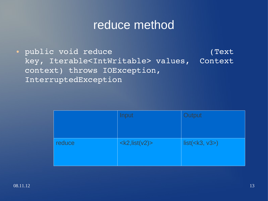### reduce method

● public void reduce (Text key, Iterable<IntWritable> values, Context context) throws IOException, InterruptedException

|        | Input              | Output              |
|--------|--------------------|---------------------|
| reduce | $<$ k2, list(v2) > | $list(\leq k3, v3)$ |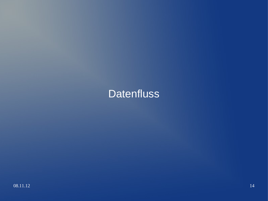### Datenfluss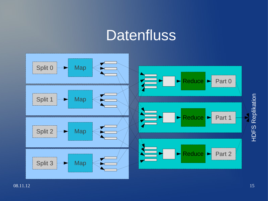### **Datenfluss**

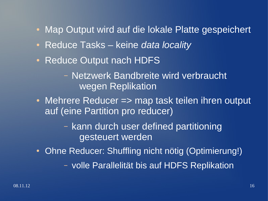- Map Output wird auf die lokale Platte gespeichert
- Reduce Tasks keine *data locality*
- Reduce Output nach HDFS
	- Netzwerk Bandbreite wird verbraucht wegen Replikation
- Mehrere Reducer => map task teilen ihren output auf (eine Partition pro reducer)
	- kann durch user defined partitioning gesteuert werden
- Ohne Reducer: Shuffling nicht nötig (Optimierung!)
	- volle Parallelität bis auf HDFS Replikation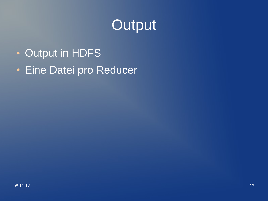## **Output**

- Output in HDFS
- Eine Datei pro Reducer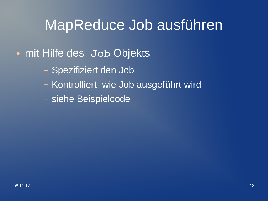## MapReduce Job ausführen

### • mit Hilfe des Job Objekts

- Spezifiziert den Job
- Kontrolliert, wie Job ausgeführt wird
- siehe Beispielcode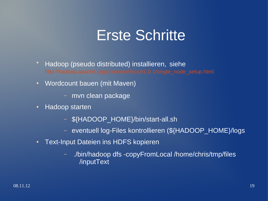### Erste Schritte

- Hadoop (pseudo distributed) installieren, siehe
- Wordcount bauen (mit Maven)
	- mvn clean package
- Hadoop starten
	- \${HADOOP\_HOME}/bin/start-all.sh
	- eventuell log-Files kontrollieren (\${HADOOP\_HOME}/logs
- Text-Input Dateien ins HDFS kopieren
	- ./bin/hadoop dfs -copyFromLocal /home/chris/tmp/files /inputText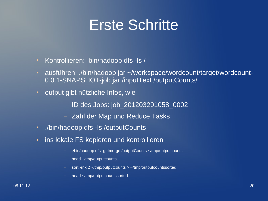## Erste Schritte

- Kontrollieren: bin/hadoop dfs -ls /
- ausführen: ./bin/hadoop jar ~/workspace/wordcount/target/wordcount-0.0.1-SNAPSHOT-job.jar /inputText /outputCounts/
- output gibt nützliche Infos, wie
	- ID des Jobs: job\_201203291058\_0002
	- Zahl der Map und Reduce Tasks
- ./bin/hadoop dfs -ls /outputCounts
- ins lokale FS kopieren und kontrollieren
	- ./bin/hadoop dfs -getmerge /outputCounts ~/tmp/outputcounts
	- head ~/tmp/outputcounts
	- sort -rnk 2 ~/tmp/outputcounts > ~/tmp/outputcountssorted
	- head ~/tmp/outputcountssorted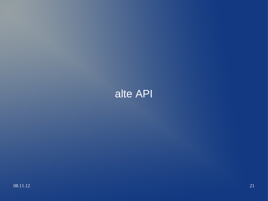### alte API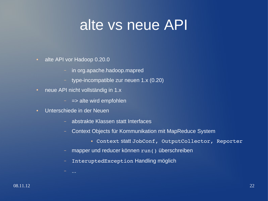## alte vs neue API

- alte API vor Hadoop 0.20.0
	- in org.apache.hadoop.mapred
	- type-incompatible zur neuen 1.x (0.20)
- neue API nicht vollständig in 1.x
	- $-$  =  $>$  alte wird empfohlen
- Unterschiede in der Neuen
	- abstrakte Klassen statt Interfaces
	- Context Objects für Kommunikation mit MapReduce System
		- Context statt JobConf, OutputCollector, Reporter
	- mapper und reducer können run() überschreiben
	- InteruptedException Handling möglich

– ...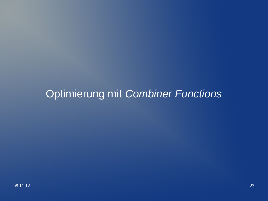### Optimierung mit *Combiner Functions*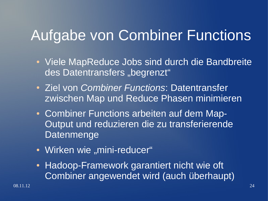## Aufgabe von Combiner Functions

- Viele MapReduce Jobs sind durch die Bandbreite des Datentransfers "begrenzt"
- Ziel von *Combiner Functions*: Datentransfer zwischen Map und Reduce Phasen minimieren
- Combiner Functions arbeiten auf dem Map-Output und reduzieren die zu transferierende Datenmenge
- Wirken wie "mini-reducer"
- Hadoop-Framework garantiert nicht wie oft Combiner angewendet wird (auch überhaupt)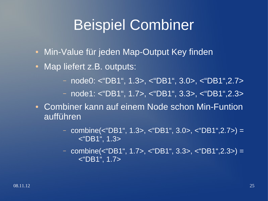## Beispiel Combiner

- Min-Value für jeden Map-Output Key finden
- Map liefert z.B. outputs:
	- node0: <"DB1", 1.3>, <"DB1", 3.0>, <"DB1",2.7>
	- node1: <"DB1", 1.7>, <"DB1", 3.3>, <"DB1",2.3>
- Combiner kann auf einem Node schon Min-Funtion aufführen
	- combine(<"DB1", 1.3>, <"DB1", 3.0>, <"DB1",2.7>) = <"DB1", 1.3>
	- combine(<"DB1", 1.7>, <"DB1", 3.3>, <"DB1",2.3>) = <"DB1", 1.7>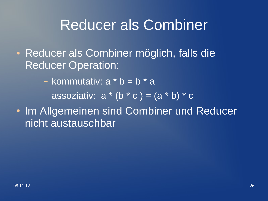## Reducer als Combiner

- Reducer als Combiner möglich, falls die Reducer Operation:
	- kommutativ:  $a * b = b * a$

 $\overline{a}$  – assoziativ:  $a * (b * c) = (a * b) * c'$ 

• Im Allgemeinen sind Combiner und Reducer nicht austauschbar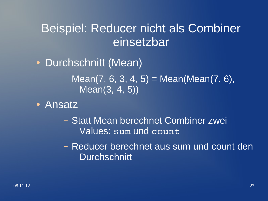### Beispiel: Reducer nicht als Combiner einsetzbar

- Durchschnitt (Mean)
	- $-$  Mean(7, 6, 3, 4, 5) = Mean(Mean(7, 6), Mean(3, 4, 5))
- Ansatz
	- Statt Mean berechnet Combiner zwei Values: sum und count
	- Reducer berechnet aus sum und count den **Durchschnitt**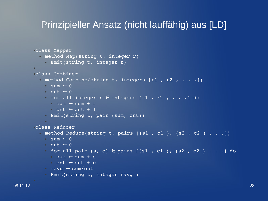### Prinzipieller Ansatz (nicht lauffähig) aus [LD]

```
●class Mapper
  nethod Map(string t, integer r)
    • Emit(string t, integer r)
●
●class Combiner
  \cdot method Combine(string t, integers [r1, r2, \ldots])
    \cdot sum \leftarrow 0
    \cdot cnt \leftarrow 0
    • for all integer r \in integers [r1, r2, \ldots] do
      \cdot sum \leftarrow sum + r
      \circ cnt \leftarrow cnt + 1
    • Emit(string t, pair (sum, cnt))
     ●
●class Reducer
  \cdot method Reduce(string t, pairs [(s1, c1), (s2, c2), \ldots])
    \cdot sum \leftarrow 0
    \cdot cnt \leftarrow 0
    • for all pair (s, c) \in pairs [(s1, c1), (s2, c2) . . .] do
      \cdot sum \leftarrow sum + s
      \cdot cnt \leftarrow cnt + c
    • ravg \leftarrow sum/cnt
    • Emit(string t, integer ravg )
```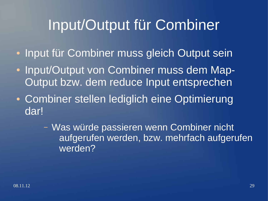## Input/Output für Combiner

- Input für Combiner muss gleich Output sein
- Input/Output von Combiner muss dem Map-Output bzw. dem reduce Input entsprechen
- Combiner stellen lediglich eine Optimierung dar!

– Was würde passieren wenn Combiner nicht aufgerufen werden, bzw. mehrfach aufgerufen werden?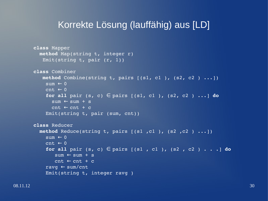### Korrekte Lösung (lauffähig) aus [LD]

```
class Mapper
    method Map(string t, integer r)
      Emit(string t, pair (r, 1))
class Combiner
      method Combine(string t, pairs [(s1, c1 ), (s2, c2 ) ...])
    sum \leftarrow 0cnt \leftarrow 0for all pair (s, c) \in pairs [(s1, c1), (s2, c2), ...] do
       sum \leftarrow sum + scnt \leftarrow cnt + c    Emit(string t, pair (sum, cnt))
class Reducer
    method Reduce(string t, pairs [(s1 ,c1 ), (s2 ,c2 ) ...])
    sum \leftarrow 0cnt \leftarrow 0for all pair (s, c) \in pairs [(s1, c1), (s2, c2), \ldots] do
        sum \leftarrow sum + scnt \leftarrow cnt + cravg \leftarrow sum/cnt
        Emit(string t, integer ravg )
```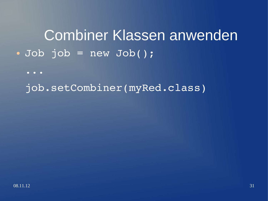Combiner Klassen anwenden  $\bullet$  Job job = new Job();

...

job.setCombiner(myRed.class)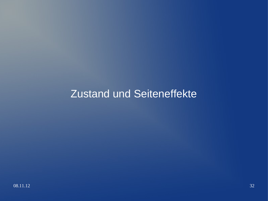### Zustand und Seiteneffekte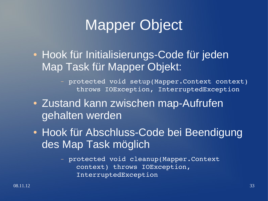## Mapper Object

• Hook für Initialisierungs-Code für jeden Map Task für Mapper Objekt:

> – protected void setup(Mapper.Context context) throws IOException, InterruptedException

- Zustand kann zwischen map-Aufrufen gehalten werden
- Hook für Abschluss-Code bei Beendigung des Map Task möglich

– protected void cleanup(Mapper.Context context) throws IOException, InterruptedException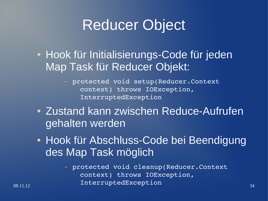## Reducer Object

• Hook für Initialisierungs-Code für jeden Map Task für Reducer Objekt:

> – protected void setup(Reducer.Context context) throws IOException, InterruptedException

- Zustand kann zwischen Reduce-Aufrufen gehalten werden
- Hook für Abschluss-Code bei Beendigung des Map Task möglich

08.11.12 **InterruptedException** 34 – protected void cleanup(Reducer.Context context) throws IOException,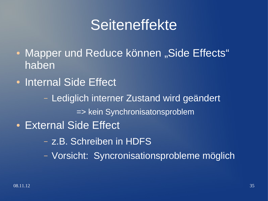## Seiteneffekte

- Mapper und Reduce können "Side Effects" haben
- Internal Side Effect
	- Lediglich interner Zustand wird geändert => kein Synchronisatonsproblem
- External Side Effect
	- z.B. Schreiben in HDFS
	- Vorsicht: Syncronisationsprobleme möglich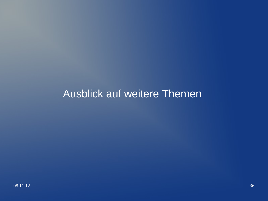### Ausblick auf weitere Themen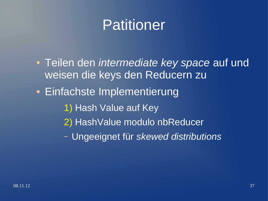## Patitioner

- Teilen den *intermediate key space* auf und weisen die keys den Reducern zu
- Einfachste Implementierung
	- 1) Hash Value auf Key
	- 2) HashValue modulo nbReducer
	- Ungeeignet für *skewed distributions*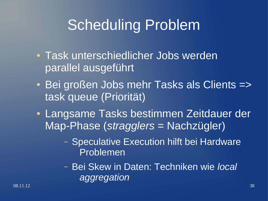# Scheduling Problem

- Task unterschiedlicher Jobs werden parallel ausgeführt
- Bei großen Jobs mehr Tasks als Clients => task queue (Priorität)
- Langsame Tasks bestimmen Zeitdauer der Map-Phase (*stragglers* = Nachzügler)
	- Speculative Execution hilft bei Hardware Problemen
	- Bei Skew in Daten: Techniken wie *local aggregation*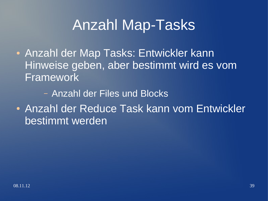## Anzahl Map-Tasks

- Anzahl der Map Tasks: Entwickler kann Hinweise geben, aber bestimmt wird es vom Framework
	- Anzahl der Files und Blocks
- Anzahl der Reduce Task kann vom Entwickler bestimmt werden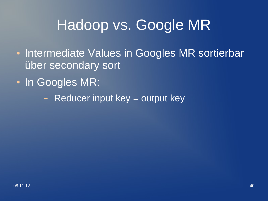## Hadoop vs. Google MR

- Intermediate Values in Googles MR sortierbar über secondary sort
- In Googles MR:
	- Reducer input key = output key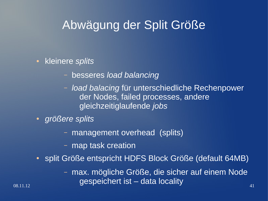### Abwägung der Split Größe

#### • kleinere *splits*

- besseres *load balancing*
- *load balacing* für unterschiedliche Rechenpower der Nodes, failed processes, andere gleichzeitiglaufende *jobs*
- *größere splits*
	- management overhead (splits)
	- map task creation
- split Größe entspricht HDFS Block Größe (default 64MB)
- 08.11.12 41 – max. mögliche Größe, die sicher auf einem Node gespeichert ist – data locality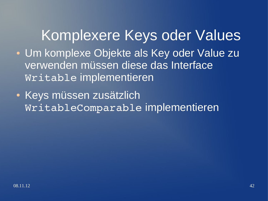## Komplexere Keys oder Values

- Um komplexe Objekte als Key oder Value zu verwenden müssen diese das Interface Writable implementieren
- Keys müssen zusätzlich WritableComparable implementieren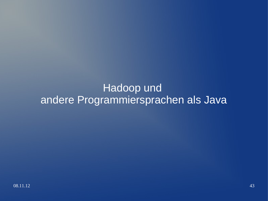### Hadoop und andere Programmiersprachen als Java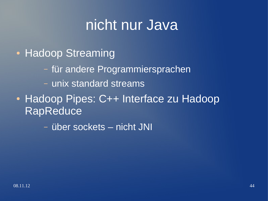## nicht nur Java

- Hadoop Streaming
	- für andere Programmiersprachen
	- unix standard streams
- Hadoop Pipes: C++ Interface zu Hadoop RapReduce

– über sockets – nicht JNI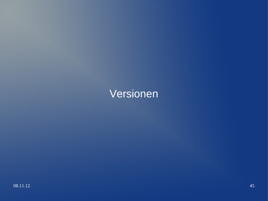### Versionen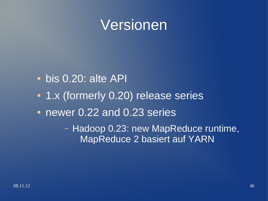### Versionen

- bis 0.20: alte API
- 1.x (formerly 0.20) release series
- newer 0.22 and 0.23 series

– Hadoop 0.23: new MapReduce runtime, MapReduce 2 basiert auf YARN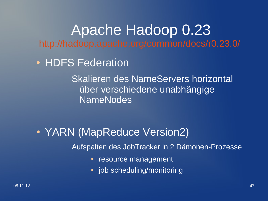Apache Hadoop 0.23 <http://hadoop.apache.org/common/docs/r0.23.0/>

- HDFS Federation
	- Skalieren des NameServers horizontal über verschiedene unabhängige NameNodes

• YARN (MapReduce Version2)

– Aufspalten des JobTracker in 2 Dämonen-Prozesse

- resource management
- $\cdot$  job scheduling/monitoring